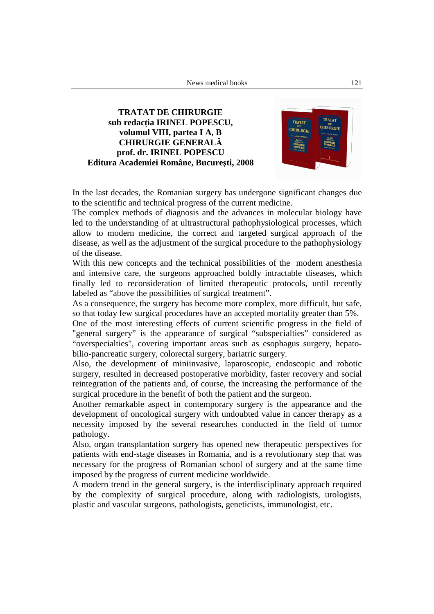## **TRATAT DE CHIRURGIE sub redacţia IRINEL POPESCU, volumul VIII, partea I A, B CHIRURGIE GENERALĂ prof. dr. IRINEL POPESCU Editura Academiei Române, Bucureşti, 2008**



In the last decades, the Romanian surgery has undergone significant changes due to the scientific and technical progress of the current medicine.

The complex methods of diagnosis and the advances in molecular biology have led to the understanding of at ultrastructural pathophysiological processes, which allow to modern medicine, the correct and targeted surgical approach of the disease, as well as the adjustment of the surgical procedure to the pathophysiology of the disease.

With this new concepts and the technical possibilities of the modern anesthesia and intensive care, the surgeons approached boldly intractable diseases, which finally led to reconsideration of limited therapeutic protocols, until recently labeled as "above the possibilities of surgical treatment".

As a consequence, the surgery has become more complex, more difficult, but safe, so that today few surgical procedures have an accepted mortality greater than 5%.

One of the most interesting effects of current scientific progress in the field of "general surgery" is the appearance of surgical "subspecialties" considered as "overspecialties", covering important areas such as esophagus surgery, hepatobilio-pancreatic surgery, colorectal surgery, bariatric surgery.

Also, the development of miniinvasive, laparoscopic, endoscopic and robotic surgery, resulted in decreased postoperative morbidity, faster recovery and social reintegration of the patients and, of course, the increasing the performance of the surgical procedure in the benefit of both the patient and the surgeon.

Another remarkable aspect in contemporary surgery is the appearance and the development of oncological surgery with undoubted value in cancer therapy as a necessity imposed by the several researches conducted in the field of tumor pathology.

Also, organ transplantation surgery has opened new therapeutic perspectives for patients with end-stage diseases in Romania, and is a revolutionary step that was necessary for the progress of Romanian school of surgery and at the same time imposed by the progress of current medicine worldwide.

A modern trend in the general surgery, is the interdisciplinary approach required by the complexity of surgical procedure, along with radiologists, urologists, plastic and vascular surgeons, pathologists, geneticists, immunologist, etc.